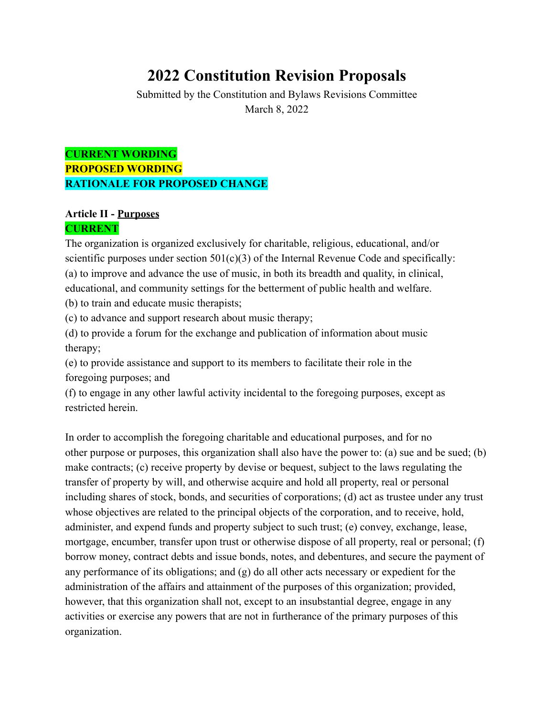# **2022 Constitution Revision Proposals**

Submitted by the Constitution and Bylaws Revisions Committee March 8, 2022

**CURRENT WORDING PROPOSED WORDING RATIONALE FOR PROPOSED CHANGE**

# **Article II - Purposes CURRENT**

The organization is organized exclusively for charitable, religious, educational, and/or scientific purposes under section  $501(c)(3)$  of the Internal Revenue Code and specifically: (a) to improve and advance the use of music, in both its breadth and quality, in clinical, educational, and community settings for the betterment of public health and welfare.

(b) to train and educate music therapists;

(c) to advance and support research about music therapy;

(d) to provide a forum for the exchange and publication of information about music therapy;

(e) to provide assistance and support to its members to facilitate their role in the foregoing purposes; and

(f) to engage in any other lawful activity incidental to the foregoing purposes, except as restricted herein.

In order to accomplish the foregoing charitable and educational purposes, and for no other purpose or purposes, this organization shall also have the power to: (a) sue and be sued; (b) make contracts; (c) receive property by devise or bequest, subject to the laws regulating the transfer of property by will, and otherwise acquire and hold all property, real or personal including shares of stock, bonds, and securities of corporations; (d) act as trustee under any trust whose objectives are related to the principal objects of the corporation, and to receive, hold, administer, and expend funds and property subject to such trust; (e) convey, exchange, lease, mortgage, encumber, transfer upon trust or otherwise dispose of all property, real or personal; (f) borrow money, contract debts and issue bonds, notes, and debentures, and secure the payment of any performance of its obligations; and (g) do all other acts necessary or expedient for the administration of the affairs and attainment of the purposes of this organization; provided, however, that this organization shall not, except to an insubstantial degree, engage in any activities or exercise any powers that are not in furtherance of the primary purposes of this organization.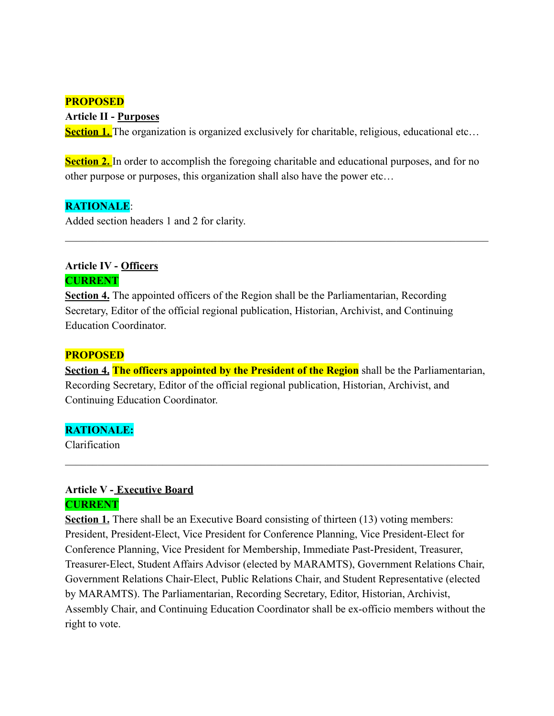#### **PROPOSED**

### **Article II - Purposes**

**Section 1.** The organization is organized exclusively for charitable, religious, educational etc...

**Section 2.** In order to accomplish the foregoing charitable and educational purposes, and for no other purpose or purposes, this organization shall also have the power etc…

 $\mathcal{L}_\mathcal{L} = \{ \mathcal{L}_\mathcal{L} = \{ \mathcal{L}_\mathcal{L} = \{ \mathcal{L}_\mathcal{L} = \{ \mathcal{L}_\mathcal{L} = \{ \mathcal{L}_\mathcal{L} = \{ \mathcal{L}_\mathcal{L} = \{ \mathcal{L}_\mathcal{L} = \{ \mathcal{L}_\mathcal{L} = \{ \mathcal{L}_\mathcal{L} = \{ \mathcal{L}_\mathcal{L} = \{ \mathcal{L}_\mathcal{L} = \{ \mathcal{L}_\mathcal{L} = \{ \mathcal{L}_\mathcal{L} = \{ \mathcal{L}_\mathcal{$ 

#### **RATIONALE**:

Added section headers 1 and 2 for clarity.

## **Article IV - Officers CURRENT**

**Section 4.** The appointed officers of the Region shall be the Parliamentarian, Recording Secretary, Editor of the official regional publication, Historian, Archivist, and Continuing Education Coordinator.

#### **PROPOSED**

**Section 4. The officers appointed by the President of the Region** shall be the Parliamentarian, Recording Secretary, Editor of the official regional publication, Historian, Archivist, and Continuing Education Coordinator.

 $\mathcal{L}_\mathcal{L} = \{ \mathcal{L}_\mathcal{L} = \{ \mathcal{L}_\mathcal{L} = \{ \mathcal{L}_\mathcal{L} = \{ \mathcal{L}_\mathcal{L} = \{ \mathcal{L}_\mathcal{L} = \{ \mathcal{L}_\mathcal{L} = \{ \mathcal{L}_\mathcal{L} = \{ \mathcal{L}_\mathcal{L} = \{ \mathcal{L}_\mathcal{L} = \{ \mathcal{L}_\mathcal{L} = \{ \mathcal{L}_\mathcal{L} = \{ \mathcal{L}_\mathcal{L} = \{ \mathcal{L}_\mathcal{L} = \{ \mathcal{L}_\mathcal{$ 

#### **RATIONALE:**

Clarification

### **Article V - Executive Board CURRENT**

**Section 1.** There shall be an Executive Board consisting of thirteen (13) voting members: President, President-Elect, Vice President for Conference Planning, Vice President-Elect for Conference Planning, Vice President for Membership, Immediate Past-President, Treasurer, Treasurer-Elect, Student Affairs Advisor (elected by MARAMTS), Government Relations Chair, Government Relations Chair-Elect, Public Relations Chair, and Student Representative (elected by MARAMTS). The Parliamentarian, Recording Secretary, Editor, Historian, Archivist, Assembly Chair, and Continuing Education Coordinator shall be ex-officio members without the right to vote.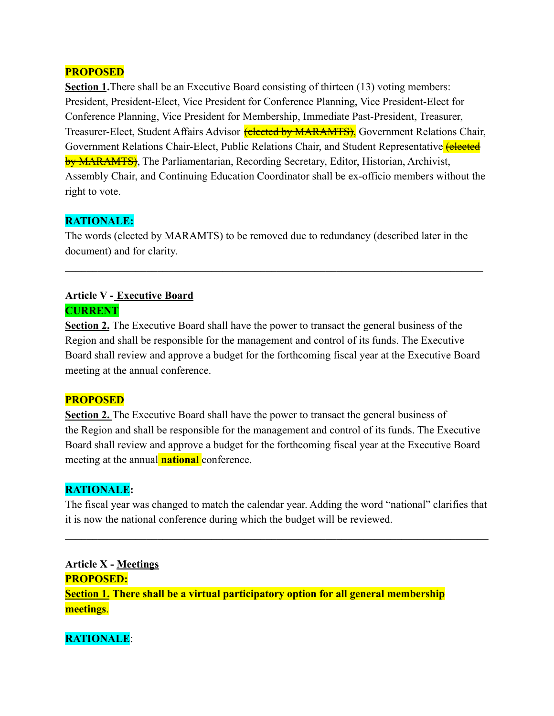### **PROPOSED**

**Section 1.** There shall be an Executive Board consisting of thirteen (13) voting members: President, President-Elect, Vice President for Conference Planning, Vice President-Elect for Conference Planning, Vice President for Membership, Immediate Past-President, Treasurer, Treasurer-Elect, Student Affairs Advisor **(elected by MARAMTS)**, Government Relations Chair, Government Relations Chair-Elect, Public Relations Chair, and Student Representative **(elected**) by MARAMTS), The Parliamentarian, Recording Secretary, Editor, Historian, Archivist, Assembly Chair, and Continuing Education Coordinator shall be ex-officio members without the right to vote.

### **RATIONALE:**

The words (elected by MARAMTS) to be removed due to redundancy (described later in the document) and for clarity.

 $\mathcal{L}_\mathcal{L} = \{ \mathcal{L}_\mathcal{L} = \{ \mathcal{L}_\mathcal{L} = \{ \mathcal{L}_\mathcal{L} = \{ \mathcal{L}_\mathcal{L} = \{ \mathcal{L}_\mathcal{L} = \{ \mathcal{L}_\mathcal{L} = \{ \mathcal{L}_\mathcal{L} = \{ \mathcal{L}_\mathcal{L} = \{ \mathcal{L}_\mathcal{L} = \{ \mathcal{L}_\mathcal{L} = \{ \mathcal{L}_\mathcal{L} = \{ \mathcal{L}_\mathcal{L} = \{ \mathcal{L}_\mathcal{L} = \{ \mathcal{L}_\mathcal{$ 

### **Article V - Executive Board CURRENT**

**Section 2.** The Executive Board shall have the power to transact the general business of the Region and shall be responsible for the management and control of its funds. The Executive Board shall review and approve a budget for the forthcoming fiscal year at the Executive Board meeting at the annual conference.

### **PROPOSED**

**Section 2.** The Executive Board shall have the power to transact the general business of the Region and shall be responsible for the management and control of its funds. The Executive Board shall review and approve a budget for the forthcoming fiscal year at the Executive Board meeting at the annual **national** conference.

### **RATIONALE:**

The fiscal year was changed to match the calendar year. Adding the word "national" clarifies that it is now the national conference during which the budget will be reviewed.

 $\mathcal{L}_\mathcal{L} = \{ \mathcal{L}_\mathcal{L} = \{ \mathcal{L}_\mathcal{L} = \{ \mathcal{L}_\mathcal{L} = \{ \mathcal{L}_\mathcal{L} = \{ \mathcal{L}_\mathcal{L} = \{ \mathcal{L}_\mathcal{L} = \{ \mathcal{L}_\mathcal{L} = \{ \mathcal{L}_\mathcal{L} = \{ \mathcal{L}_\mathcal{L} = \{ \mathcal{L}_\mathcal{L} = \{ \mathcal{L}_\mathcal{L} = \{ \mathcal{L}_\mathcal{L} = \{ \mathcal{L}_\mathcal{L} = \{ \mathcal{L}_\mathcal{$ 

**Article X - Meetings PROPOSED: Section 1. There shall be a virtual participatory option for all general membership meetings**.

### **RATIONALE**: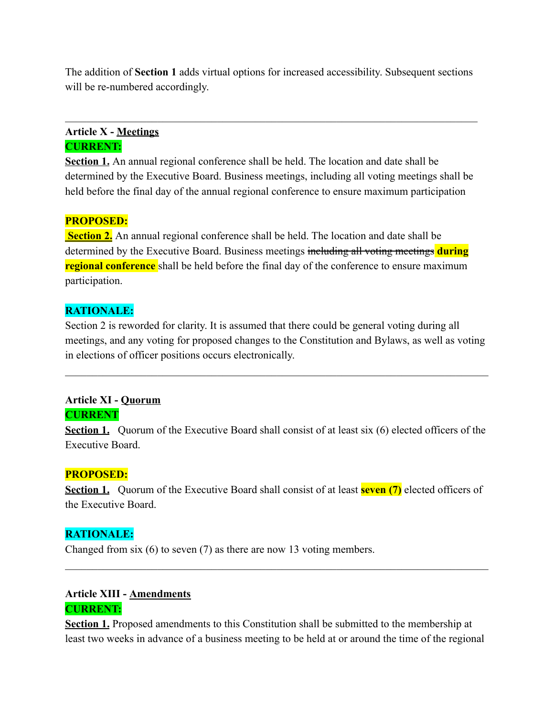The addition of **Section 1** adds virtual options for increased accessibility. Subsequent sections will be re-numbered accordingly.

 $\mathcal{L}_\mathcal{L} = \{ \mathcal{L}_\mathcal{L} = \{ \mathcal{L}_\mathcal{L} = \{ \mathcal{L}_\mathcal{L} = \{ \mathcal{L}_\mathcal{L} = \{ \mathcal{L}_\mathcal{L} = \{ \mathcal{L}_\mathcal{L} = \{ \mathcal{L}_\mathcal{L} = \{ \mathcal{L}_\mathcal{L} = \{ \mathcal{L}_\mathcal{L} = \{ \mathcal{L}_\mathcal{L} = \{ \mathcal{L}_\mathcal{L} = \{ \mathcal{L}_\mathcal{L} = \{ \mathcal{L}_\mathcal{L} = \{ \mathcal{L}_\mathcal{$ 

# **Article X - Meetings CURRENT:**

**Section 1.** An annual regional conference shall be held. The location and date shall be determined by the Executive Board. Business meetings, including all voting meetings shall be held before the final day of the annual regional conference to ensure maximum participation

# **PROPOSED:**

**Section 2.** An annual regional conference shall be held. The location and date shall be determined by the Executive Board. Business meetings including all voting meetings **during regional conference** shall be held before the final day of the conference to ensure maximum participation.

# **RATIONALE:**

Section 2 is reworded for clarity. It is assumed that there could be general voting during all meetings, and any voting for proposed changes to the Constitution and Bylaws, as well as voting in elections of officer positions occurs electronically.

 $\mathcal{L}_\mathcal{L} = \{ \mathcal{L}_\mathcal{L} = \{ \mathcal{L}_\mathcal{L} = \{ \mathcal{L}_\mathcal{L} = \{ \mathcal{L}_\mathcal{L} = \{ \mathcal{L}_\mathcal{L} = \{ \mathcal{L}_\mathcal{L} = \{ \mathcal{L}_\mathcal{L} = \{ \mathcal{L}_\mathcal{L} = \{ \mathcal{L}_\mathcal{L} = \{ \mathcal{L}_\mathcal{L} = \{ \mathcal{L}_\mathcal{L} = \{ \mathcal{L}_\mathcal{L} = \{ \mathcal{L}_\mathcal{L} = \{ \mathcal{L}_\mathcal{$ 

# **Article XI - Quorum**

### **CURRENT**

**Section 1.** Ouorum of the Executive Board shall consist of at least six (6) elected officers of the Executive Board.

### **PROPOSED:**

**Section 1.** Quorum of the Executive Board shall consist of at least **seven (7)** elected officers of the Executive Board.

### **RATIONALE:**

Changed from six (6) to seven (7) as there are now 13 voting members.

### **Article XIII - Amendments CURRENT:**

**Section 1.** Proposed amendments to this Constitution shall be submitted to the membership at least two weeks in advance of a business meeting to be held at or around the time of the regional

 $\mathcal{L}_\mathcal{L} = \{ \mathcal{L}_\mathcal{L} = \{ \mathcal{L}_\mathcal{L} = \{ \mathcal{L}_\mathcal{L} = \{ \mathcal{L}_\mathcal{L} = \{ \mathcal{L}_\mathcal{L} = \{ \mathcal{L}_\mathcal{L} = \{ \mathcal{L}_\mathcal{L} = \{ \mathcal{L}_\mathcal{L} = \{ \mathcal{L}_\mathcal{L} = \{ \mathcal{L}_\mathcal{L} = \{ \mathcal{L}_\mathcal{L} = \{ \mathcal{L}_\mathcal{L} = \{ \mathcal{L}_\mathcal{L} = \{ \mathcal{L}_\mathcal{$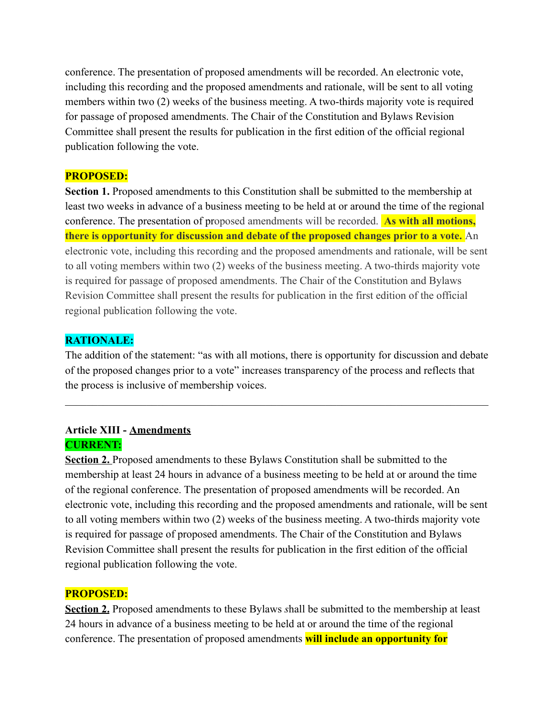conference. The presentation of proposed amendments will be recorded. An electronic vote, including this recording and the proposed amendments and rationale, will be sent to all voting members within two (2) weeks of the business meeting. A two-thirds majority vote is required for passage of proposed amendments. The Chair of the Constitution and Bylaws Revision Committee shall present the results for publication in the first edition of the official regional publication following the vote.

#### **PROPOSED:**

**Section 1.** Proposed amendments to this Constitution shall be submitted to the membership at least two weeks in advance of a business meeting to be held at or around the time of the regional conference. The presentation of proposed amendments will be recorded. **As with all motions, there is opportunity for discussion and debate of the proposed changes prior to a vote.** An electronic vote, including this recording and the proposed amendments and rationale, will be sent to all voting members within two (2) weeks of the business meeting. A two-thirds majority vote is required for passage of proposed amendments. The Chair of the Constitution and Bylaws Revision Committee shall present the results for publication in the first edition of the official regional publication following the vote.

### **RATIONALE:**

The addition of the statement: "as with all motions, there is opportunity for discussion and debate of the proposed changes prior to a vote" increases transparency of the process and reflects that the process is inclusive of membership voices.

 $\mathcal{L}_\mathcal{L} = \{ \mathcal{L}_\mathcal{L} = \{ \mathcal{L}_\mathcal{L} = \{ \mathcal{L}_\mathcal{L} = \{ \mathcal{L}_\mathcal{L} = \{ \mathcal{L}_\mathcal{L} = \{ \mathcal{L}_\mathcal{L} = \{ \mathcal{L}_\mathcal{L} = \{ \mathcal{L}_\mathcal{L} = \{ \mathcal{L}_\mathcal{L} = \{ \mathcal{L}_\mathcal{L} = \{ \mathcal{L}_\mathcal{L} = \{ \mathcal{L}_\mathcal{L} = \{ \mathcal{L}_\mathcal{L} = \{ \mathcal{L}_\mathcal{$ 

### **Article XIII - Amendments CURRENT:**

**Section 2.** Proposed amendments to these Bylaws Constitution shall be submitted to the membership at least 24 hours in advance of a business meeting to be held at or around the time of the regional conference. The presentation of proposed amendments will be recorded. An electronic vote, including this recording and the proposed amendments and rationale, will be sent to all voting members within two (2) weeks of the business meeting. A two-thirds majority vote is required for passage of proposed amendments. The Chair of the Constitution and Bylaws Revision Committee shall present the results for publication in the first edition of the official regional publication following the vote.

#### **PROPOSED:**

**Section 2.** Proposed amendments to these Bylaws *s*hall be submitted to the membership at least 24 hours in advance of a business meeting to be held at or around the time of the regional conference. The presentation of proposed amendments **will include an opportunity for**